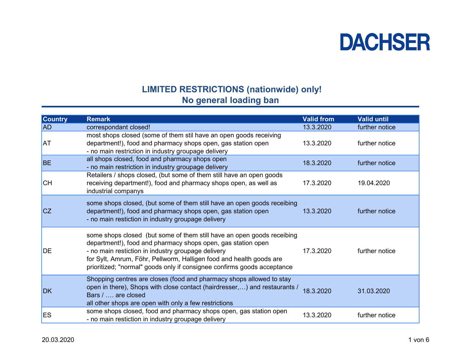#### LIMITED RESTRICTIONS (nationwide) only! No general loading ban

| <b>Country</b> | <b>Remark</b>                                                                                                                                                                                                                                                                                                                                  | <b>Valid from</b> | <b>Valid until</b> |
|----------------|------------------------------------------------------------------------------------------------------------------------------------------------------------------------------------------------------------------------------------------------------------------------------------------------------------------------------------------------|-------------------|--------------------|
| <b>AD</b>      | correspondant closed!                                                                                                                                                                                                                                                                                                                          | 13.3.2020         | further notice     |
| <b>AT</b>      | most shops closed (some of them stil have an open goods receiving<br>department!), food and pharmacy shops open, gas station open<br>- no main restriction in industry groupage delivery                                                                                                                                                       | 13.3.2020         | further notice     |
| <b>BE</b>      | all shops closed, food and pharmacy shops open<br>- no main restriction in industry groupage delivery                                                                                                                                                                                                                                          | 18.3.2020         | further notice     |
| <b>CH</b>      | Retailers / shops closed, (but some of them still have an open goods<br>receiving department!), food and pharmacy shops open, as well as<br>industrial companys                                                                                                                                                                                | 17.3.2020         | 19.04.2020         |
| <b>CZ</b>      | some shops closed, (but some of them still have an open goods receibing<br>department!), food and pharmacy shops open, gas station open<br>- no main restiction in industry groupage delivery                                                                                                                                                  | 13.3.2020         | further notice     |
| DE             | some shops closed (but some of them still have an open goods receibing<br>department!), food and pharmacy shops open, gas station open<br>- no main restiction in industry groupage delivery<br>for Sylt, Amrum, Föhr, Pellworm, Halligen food and health goods are<br>prioritized; "normal" goods only if consignee confirms goods acceptance | 17.3.2020         | further notice     |
| <b>DK</b>      | Shopping centres are closes (food and pharmacy shops allowed to stay<br>open in there), Shops with close contact (hairdresser,) and restaurants /<br>Bars /  are closed<br>all other shops are open with only a few restrictions                                                                                                               | 18.3.2020         | 31.03.2020         |
| <b>ES</b>      | some shops closed, food and pharmacy shops open, gas station open<br>- no main restiction in industry groupage delivery                                                                                                                                                                                                                        | 13.3.2020         | further notice     |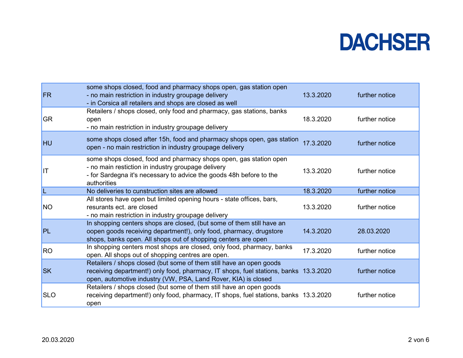| <b>FR</b>  | some shops closed, food and pharmacy shops open, gas station open<br>- no main restriction in industry groupage delivery<br>- in Corsica all retailers and shops are closed as well                                           | 13.3.2020 | further notice |
|------------|-------------------------------------------------------------------------------------------------------------------------------------------------------------------------------------------------------------------------------|-----------|----------------|
| <b>GR</b>  | Retailers / shops closed, only food and pharmacy, gas stations, banks<br>open<br>- no main restriction in industry groupage delivery                                                                                          | 18.3.2020 | further notice |
| <b>HU</b>  | some shops closed after 15h, food and pharmacy shops open, gas station<br>open - no main restriction in industry groupage delivery                                                                                            | 17.3.2020 | further notice |
| IIT        | some shops closed, food and pharmacy shops open, gas station open<br>- no main restiction in industry groupage delivery<br>- for Sardegna it's necessary to advice the goods 48h before to the<br>authorities                 | 13.3.2020 | further notice |
| L          | No deliveries to cunstruction sites are allowed                                                                                                                                                                               | 18.3.2020 | further notice |
| <b>NO</b>  | All stores have open but limited opening hours - state offices, bars,<br>resurants ect. are closed<br>- no main restriction in industry groupage delivery                                                                     | 13.3.2020 | further notice |
| PL         | In shopping centers shops are closed, (but some of them still have an<br>oopen goods receiving department!), only food, pharmacy, drugstore<br>shops, banks open. All shops out of shopping centers are open                  | 14.3.2020 | 28.03.2020     |
| <b>RO</b>  | In shopping centers most shops are closed, only food, pharmacy, banks<br>open. All shops out of shopping centres are open.                                                                                                    | 17.3.2020 | further notice |
| <b>SK</b>  | Retailers / shops closed (but some of them still have an open goods<br>receiving department!) only food, pharmacy, IT shops, fuel stations, banks 13.3.2020<br>open, automotive industry (VW, PSA, Land Rover, KIA) is closed |           | further notice |
| <b>SLO</b> | Retailers / shops closed (but some of them still have an open goods<br>receiving department!) only food, pharmacy, IT shops, fuel stations, banks 13.3.2020<br>open                                                           |           | further notice |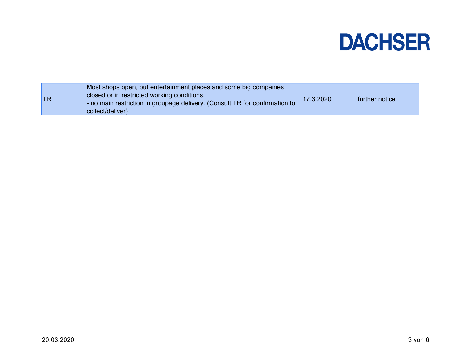| <b>TR</b> | Most shops open, but entertainment places and some big companies<br>closed or in restricted working conditions.<br>- no main restriction in groupage delivery. (Consult TR for confirmation to<br>collect/deliver) | 17.3.2020 | further notice |
|-----------|--------------------------------------------------------------------------------------------------------------------------------------------------------------------------------------------------------------------|-----------|----------------|
|           |                                                                                                                                                                                                                    |           |                |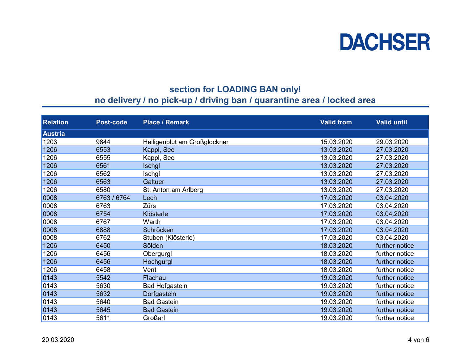

### section for LOADING BAN only!

### no delivery / no pick-up / driving ban / quarantine area / locked area

| <b>Relation</b> | Post-code   | <b>Place / Remark</b>        | <b>Valid from</b> | <b>Valid until</b> |
|-----------------|-------------|------------------------------|-------------------|--------------------|
| <b>Austria</b>  |             |                              |                   |                    |
| 1203            | 9844        | Heiligenblut am Großglockner | 15.03.2020        | 29.03.2020         |
| 1206            | 6553        | Kappl, See                   | 13.03.2020        | 27.03.2020         |
| 1206            | 6555        | Kappl, See                   | 13.03.2020        | 27.03.2020         |
| 1206            | 6561        | <b>Ischgl</b>                | 13.03.2020        | 27.03.2020         |
| 1206            | 6562        | Ischgl                       | 13.03.2020        | 27.03.2020         |
| 1206            | 6563        | Galtuer                      | 13.03.2020        | 27.03.2020         |
| 1206            | 6580        | St. Anton am Arlberg         | 13.03.2020        | 27.03.2020         |
| 0008            | 6763 / 6764 | Lech                         | 17.03.2020        | 03.04.2020         |
| 0008            | 6763        | <b>Zürs</b>                  | 17.03.2020        | 03.04.2020         |
| 0008            | 6754        | Klösterle                    | 17.03.2020        | 03.04.2020         |
| 0008            | 6767        | Warth                        | 17.03.2020        | 03.04.2020         |
| 0008            | 6888        | Schröcken                    | 17.03.2020        | 03.04.2020         |
| 0008            | 6762        | Stuben (Klösterle)           | 17.03.2020        | 03.04.2020         |
| 1206            | 6450        | Sölden                       | 18.03.2020        | further notice     |
| 1206            | 6456        | Obergurgl                    | 18.03.2020        | further notice     |
| 1206            | 6456        | Hochgurgl                    | 18.03.2020        | further notice     |
| 1206            | 6458        | Vent                         | 18.03.2020        | further notice     |
| 0143            | 5542        | Flachau                      | 19.03.2020        | further notice     |
| 0143            | 5630        | <b>Bad Hofgastein</b>        | 19.03.2020        | further notice     |
| 0143            | 5632        | Dorfgastein                  | 19.03.2020        | further notice     |
| 0143            | 5640        | <b>Bad Gastein</b>           | 19.03.2020        | further notice     |
| 0143            | 5645        | <b>Bad Gastein</b>           | 19.03.2020        | further notice     |
| 0143            | 5611        | Großarl                      | 19.03.2020        | further notice     |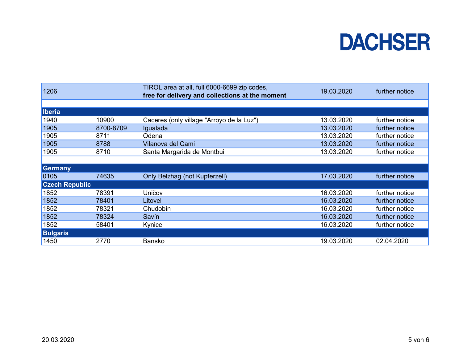| 1206                  |           | TIROL area at all, full 6000-6699 zip codes,<br>free for delivery and collections at the moment | 19.03.2020 | further notice |  |  |
|-----------------------|-----------|-------------------------------------------------------------------------------------------------|------------|----------------|--|--|
|                       |           |                                                                                                 |            |                |  |  |
| <b>Iberia</b>         |           |                                                                                                 |            |                |  |  |
| 1940                  | 10900     | Caceres (only village "Arroyo de la Luz")                                                       | 13.03.2020 | further notice |  |  |
| 1905                  | 8700-8709 | Igualada                                                                                        | 13.03.2020 | further notice |  |  |
| 1905                  | 8711      | Odena                                                                                           | 13.03.2020 | further notice |  |  |
| 1905                  | 8788      | Vilanova del Cami                                                                               | 13.03.2020 | further notice |  |  |
| 1905                  | 8710      | Santa Margarida de Montbui                                                                      | 13.03.2020 | further notice |  |  |
|                       |           |                                                                                                 |            |                |  |  |
| <b>Germany</b>        |           |                                                                                                 |            |                |  |  |
| 0105                  | 74635     | Only Belzhag (not Kupferzell)                                                                   | 17.03.2020 | further notice |  |  |
| <b>Czech Republic</b> |           |                                                                                                 |            |                |  |  |
| 1852                  | 78391     | Uničov                                                                                          | 16.03.2020 | further notice |  |  |
| 1852                  | 78401     | Litovel                                                                                         | 16.03.2020 | further notice |  |  |
| 1852                  | 78321     | Chudobín                                                                                        | 16.03.2020 | further notice |  |  |
| 1852                  | 78324     | Savín                                                                                           | 16.03.2020 | further notice |  |  |
| 1852                  | 58401     | Kynice                                                                                          | 16.03.2020 | further notice |  |  |
| <b>Bulgaria</b>       |           |                                                                                                 |            |                |  |  |
| 1450                  | 2770      | Bansko                                                                                          | 19.03.2020 | 02.04.2020     |  |  |